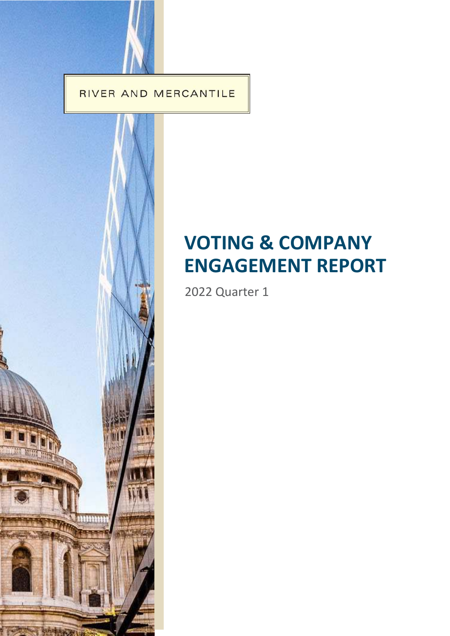RIVER AND MERCANTILE



# **VOTING & COMPANY ENGAGEMENT REPORT**

2022 Quarter 1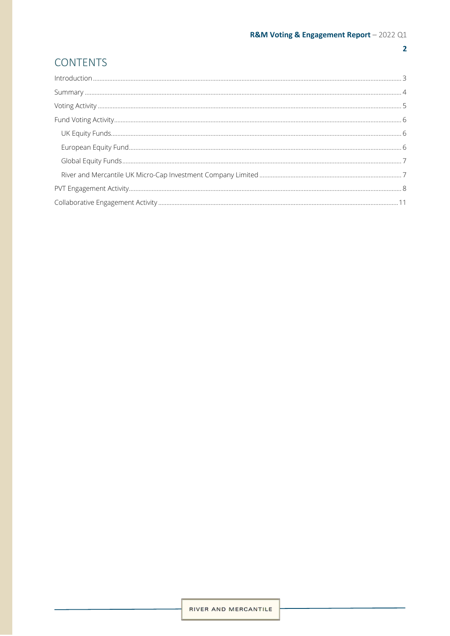# $\overline{2}$

# **CONTENTS**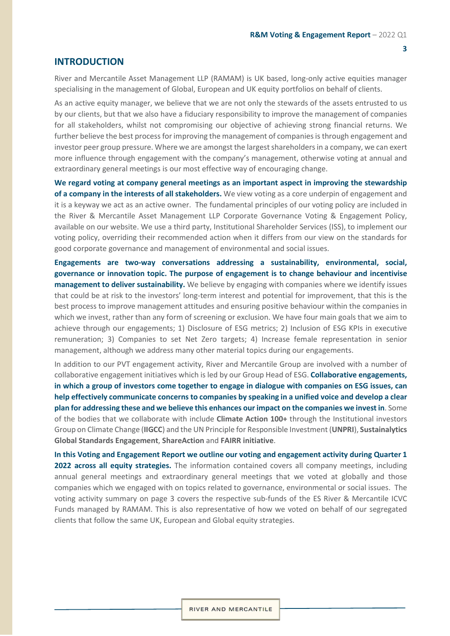## <span id="page-2-0"></span>**INTRODUCTION**

River and Mercantile Asset Management LLP (RAMAM) is UK based, long-only active equities manager specialising in the management of Global, European and UK equity portfolios on behalf of clients.

As an active equity manager, we believe that we are not only the stewards of the assets entrusted to us by our clients, but that we also have a fiduciary responsibility to improve the management of companies for all stakeholders, whilst not compromising our objective of achieving strong financial returns. We further believe the best process for improving the management of companies is through engagement and investor peer group pressure. Where we are amongst the largest shareholders in a company, we can exert more influence through engagement with the company's management, otherwise voting at annual and extraordinary general meetings is our most effective way of encouraging change.

**We regard voting at company general meetings as an important aspect in improving the stewardship of a company in the interests of all stakeholders.** We view voting as a core underpin of engagement and it is a keyway we act as an active owner. The fundamental principles of our voting policy are included in the River & Mercantile Asset Management LLP Corporate Governance Voting & Engagement Policy, available on our website. We use a third party, Institutional Shareholder Services (ISS), to implement our voting policy, overriding their recommended action when it differs from our view on the standards for good corporate governance and management of environmental and social issues.

**Engagements are two-way conversations addressing a sustainability, environmental, social, governance or innovation topic. The purpose of engagement is to change behaviour and incentivise management to deliver sustainability.** We believe by engaging with companies where we identify issues that could be at risk to the investors' long-term interest and potential for improvement, that this is the best process to improve management attitudes and ensuring positive behaviour within the companies in which we invest, rather than any form of screening or exclusion. We have four main goals that we aim to achieve through our engagements; 1) Disclosure of ESG metrics; 2) Inclusion of ESG KPIs in executive remuneration; 3) Companies to set Net Zero targets; 4) Increase female representation in senior management, although we address many other material topics during our engagements.

In addition to our PVT engagement activity, River and Mercantile Group are involved with a number of collaborative engagement initiatives which is led by our Group Head of ESG. **Collaborative engagements, in which a group of investors come together to engage in dialogue with companies on ESG issues, can help effectively communicate concerns to companies by speaking in a unified voice and develop a clear plan for addressing these and we believe this enhances our impact on the companies we invest in**. Some of the bodies that we collaborate with include **Climate Action 100+** through the Institutional investors Group on Climate Change (**IIGCC**) and the UN Principle for Responsible Investment (**UNPRI**), **Sustainalytics Global Standards Engagement**, **ShareAction** and **FAIRR initiative**.

**In this Voting and Engagement Report we outline our voting and engagement activity during Quarter 1 2022 across all equity strategies.** The information contained covers all company meetings, including annual general meetings and extraordinary general meetings that we voted at globally and those companies which we engaged with on topics related to governance, environmental or social issues. The voting activity summary on page 3 covers the respective sub-funds of the ES River & Mercantile ICVC Funds managed by RAMAM. This is also representative of how we voted on behalf of our segregated clients that follow the same UK, European and Global equity strategies.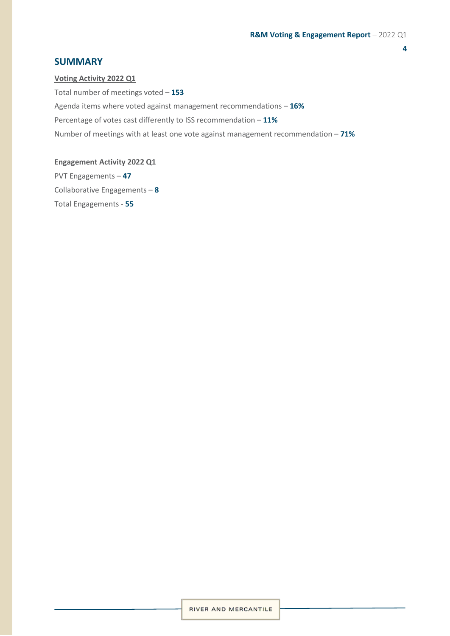# <span id="page-3-0"></span>**SUMMARY**

**Voting Activity 2022 Q1** Total number of meetings voted – **153** Agenda items where voted against management recommendations – **16%** Percentage of votes cast differently to ISS recommendation – **11%** Number of meetings with at least one vote against management recommendation – **71%**

# **Engagement Activity 2022 Q1**

PVT Engagements – **47** Collaborative Engagements – **8** Total Engagements - **55**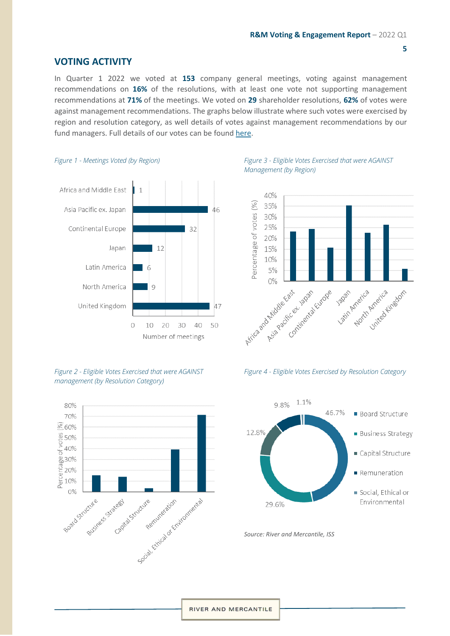# <span id="page-4-0"></span>**VOTING ACTIVITY**

In Quarter 1 2022 we voted at **153** company general meetings, voting against management recommendations on **16%** of the resolutions, with at least one vote not supporting management recommendations at **71%** of the meetings. We voted on **29** shareholder resolutions, **62%** of votes were against management recommendations. The graphs below illustrate where such votes were exercised by region and resolution category, as well details of votes against management recommendations by our fund managers. Full details of our votes can be found [here.](https://riverandmercantile.com/wp-content/uploads/2022/04/VoteSummaryPVT_2022Q1.pdf)



#### *Figure 1 - Meetings Voted (by Region)*

*Figure 2 - Eligible Votes Exercised that were AGAINST management (by Resolution Category)*



*Figure 3 - Eligible Votes Exercised that were AGAINST Management (by Region)*







*Source: River and Mercantile, ISS*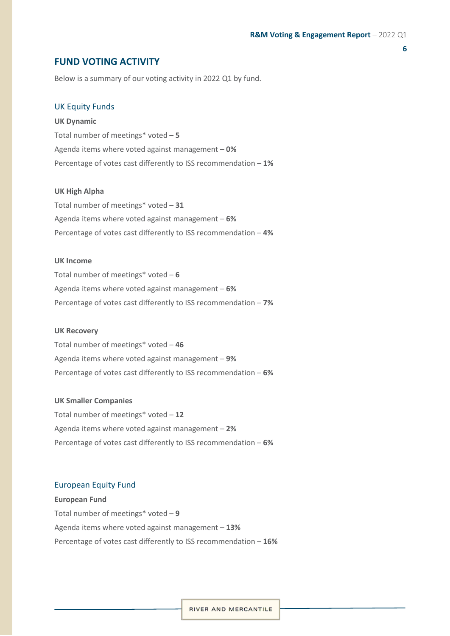# <span id="page-5-0"></span>**FUND VOTING ACTIVITY**

Below is a summary of our voting activity in 2022 Q1 by fund.

#### <span id="page-5-1"></span>UK Equity Funds

**UK Dynamic** Total number of meetings\* voted – **5**  Agenda items where voted against management – **0%** Percentage of votes cast differently to ISS recommendation – **1%**

#### **UK High Alpha**

Total number of meetings\* voted – **31** Agenda items where voted against management – **6%** Percentage of votes cast differently to ISS recommendation – **4%**

#### **UK Income**

Total number of meetings\* voted – **6**  Agenda items where voted against management – **6%** Percentage of votes cast differently to ISS recommendation – **7%** 

#### **UK Recovery**

Total number of meetings\* voted – **46** Agenda items where voted against management – **9%**  Percentage of votes cast differently to ISS recommendation – **6%** 

#### **UK Smaller Companies**

Total number of meetings\* voted – **12** Agenda items where voted against management – **2%** Percentage of votes cast differently to ISS recommendation – **6%**

#### <span id="page-5-2"></span>European Equity Fund

**European Fund** Total number of meetings\* voted – **9** Agenda items where voted against management – **13%** Percentage of votes cast differently to ISS recommendation – **16%**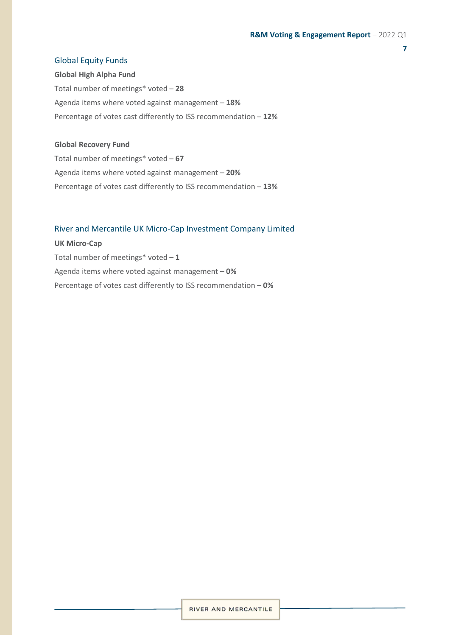#### <span id="page-6-0"></span>Global Equity Funds

**Global High Alpha Fund** Total number of meetings\* voted – **28** Agenda items where voted against management – **18%** Percentage of votes cast differently to ISS recommendation – **12%**

#### **Global Recovery Fund**

Total number of meetings\* voted – **67** Agenda items where voted against management – **20%** Percentage of votes cast differently to ISS recommendation – **13%**

#### <span id="page-6-1"></span>River and Mercantile UK Micro-Cap Investment Company Limited

**UK Micro-Cap** Total number of meetings\* voted – **1**  Agenda items where voted against management – **0%** Percentage of votes cast differently to ISS recommendation – **0%**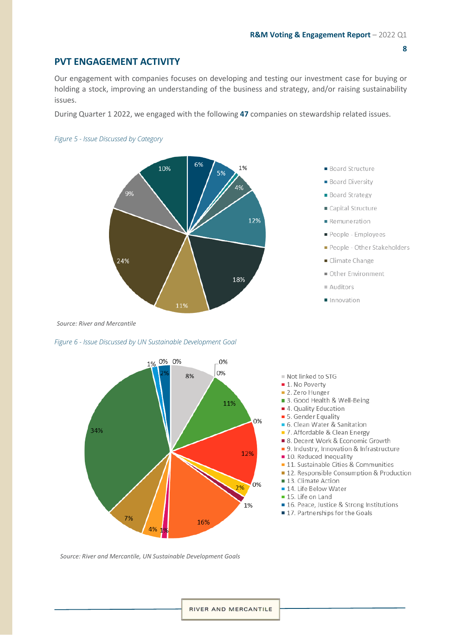# <span id="page-7-0"></span>**PVT ENGAGEMENT ACTIVITY**

Our engagement with companies focuses on developing and testing our investment case for buying or holding a stock, improving an understanding of the business and strategy, and/or raising sustainability issues.

During Quarter 1 2022, we engaged with the following 47 companies on stewardship related issues.

#### Figure 5 - Issue Discussed by Category



- **Board Structure**
- **Board Diversity**
- **Board Strategy**
- Capital Structure
- Remuneration
- People Employees
- People Other Stakeholders
- Climate Change
- Other Environment
- Auditors
- Innovation

Source: River and Mercantile

#### Figure 6 - Issue Discussed by UN Sustainable Development Goal



- Not linked to STG
- 1. No Poverty
- 2. Zero Hunger
- 3. Good Health & Well-Being
- 4. Quality Education
- 5. Gender Equality
- 6. Clean Water & Sanitation
- 7. Affordable & Clean Energy
- 8. Decent Work & Economic Growth
- 9. Industry, Innovation & Infrastructure
- **10.** Reduced Inequality
- **11.** Sustainable Cities & Communities
- 12. Responsible Consumption & Production
- 13. Climate Action
- 14. Life Below Water
- 15. Life on Land
- 16. Peace, Justice & Strong Institutions
- 17. Partnerships for the Goals

Source: River and Mercantile, UN Sustainable Development Goals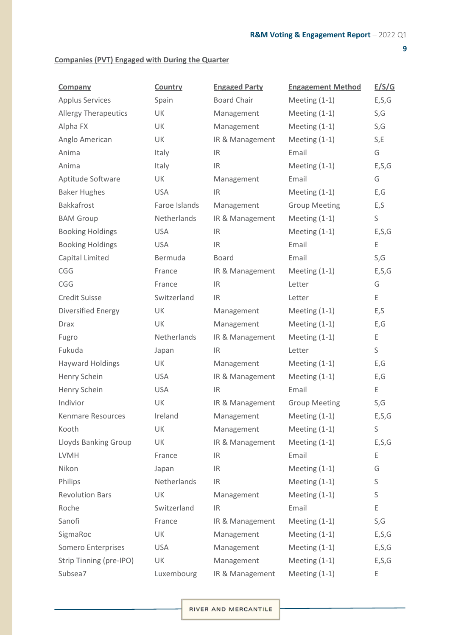# **Companies (PVT) Engaged with During the Quarter**

| <b>Company</b>              | Country       | <b>Engaged Party</b> | <b>Engagement Method</b> | E/S/G   |
|-----------------------------|---------------|----------------------|--------------------------|---------|
| <b>Applus Services</b>      | Spain         | <b>Board Chair</b>   | Meeting $(1-1)$          | E, S, G |
| <b>Allergy Therapeutics</b> | UK            | Management           | Meeting $(1-1)$          | S,G     |
| Alpha FX                    | UK            | Management           | Meeting $(1-1)$          | S,G     |
| Anglo American              | UK            | IR & Management      | Meeting $(1-1)$          | S, E    |
| Anima                       | Italy         | IR.                  | Email                    | G       |
| Anima                       | Italy         | IR.                  | Meeting $(1-1)$          | E, S, G |
| Aptitude Software           | UK            | Management           | Email                    | G       |
| <b>Baker Hughes</b>         | <b>USA</b>    | IR.                  | Meeting $(1-1)$          | E, G    |
| <b>Bakkafrost</b>           | Faroe Islands | Management           | <b>Group Meeting</b>     | E, S    |
| <b>BAM Group</b>            | Netherlands   | IR & Management      | Meeting $(1-1)$          | S       |
| <b>Booking Holdings</b>     | <b>USA</b>    | IR.                  | Meeting $(1-1)$          | E, S, G |
| <b>Booking Holdings</b>     | <b>USA</b>    | IR                   | Email                    | Ε       |
| Capital Limited             | Bermuda       | <b>Board</b>         | Email                    | S,G     |
| CGG                         | France        | IR & Management      | Meeting (1-1)            | E, S, G |
| CGG                         | France        | IR.                  | Letter                   | G       |
| <b>Credit Suisse</b>        | Switzerland   | IR.                  | Letter                   | E       |
| Diversified Energy          | UK            | Management           | Meeting $(1-1)$          | E, S    |
| <b>Drax</b>                 | UK            | Management           | Meeting $(1-1)$          | E, G    |
| Fugro                       | Netherlands   | IR & Management      | Meeting $(1-1)$          | Ε       |
| Fukuda                      | Japan         | IR.                  | Letter                   | S       |
| <b>Hayward Holdings</b>     | UK            | Management           | Meeting $(1-1)$          | E, G    |
| Henry Schein                | <b>USA</b>    | IR & Management      | Meeting $(1-1)$          | E,G     |
| Henry Schein                | <b>USA</b>    | IR.                  | Email                    | E       |
| Indivior                    | UK            | IR & Management      | <b>Group Meeting</b>     | S,G     |
| Kenmare Resources           | Ireland       | Management           | Meeting $(1-1)$          | E, S, G |
| Kooth                       | UK            | Management           | Meeting $(1-1)$          | S       |
| Lloyds Banking Group        | UK            | IR & Management      | Meeting $(1-1)$          | E, S, G |
| <b>LVMH</b>                 | France        | IR.                  | Email                    | Ε       |
| Nikon                       | Japan         | IR.                  | Meeting $(1-1)$          | G       |
| Philips                     | Netherlands   | IR.                  | Meeting $(1-1)$          | S       |
| <b>Revolution Bars</b>      | UK            | Management           | Meeting $(1-1)$          | S       |
| Roche                       | Switzerland   | IR                   | Email                    | Ε       |
| Sanofi                      | France        | IR & Management      | Meeting $(1-1)$          | S,G     |
| SigmaRoc                    | UK            | Management           | Meeting $(1-1)$          | E, S, G |
| <b>Somero Enterprises</b>   | <b>USA</b>    | Management           | Meeting $(1-1)$          | E, S, G |
| Strip Tinning (pre-IPO)     | UK            | Management           | Meeting $(1-1)$          | E, S, G |
| Subsea7                     | Luxembourg    | IR & Management      | Meeting $(1-1)$          | Ε       |

RIVER AND MERCANTILE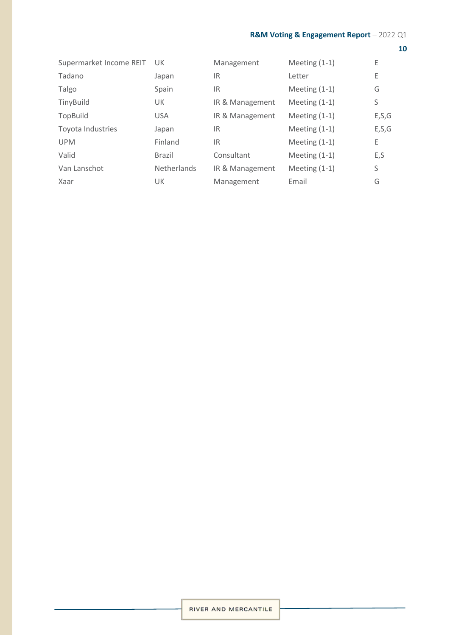| Supermarket Income REIT | UK.                | Management      | Meeting $(1-1)$ | Ε       |
|-------------------------|--------------------|-----------------|-----------------|---------|
| Tadano                  | Japan              | IR.             | Letter          | Ε       |
| Talgo                   | Spain              | 1R              | Meeting $(1-1)$ | G       |
| TinyBuild               | UK.                | IR & Management | Meeting $(1-1)$ | S       |
| TopBuild                | <b>USA</b>         | IR & Management | Meeting $(1-1)$ | E, S, G |
| Toyota Industries       | Japan              | 1R              | Meeting $(1-1)$ | E, S, G |
| <b>UPM</b>              | Finland            | 1R              | Meeting $(1-1)$ | Ε       |
| Valid                   | <b>Brazil</b>      | Consultant      | Meeting $(1-1)$ | E, S    |
| Van Lanschot            | <b>Netherlands</b> | IR & Management | Meeting $(1-1)$ | S       |
| Xaar                    | <b>UK</b>          | Management      | Email           | G       |
|                         |                    |                 |                 |         |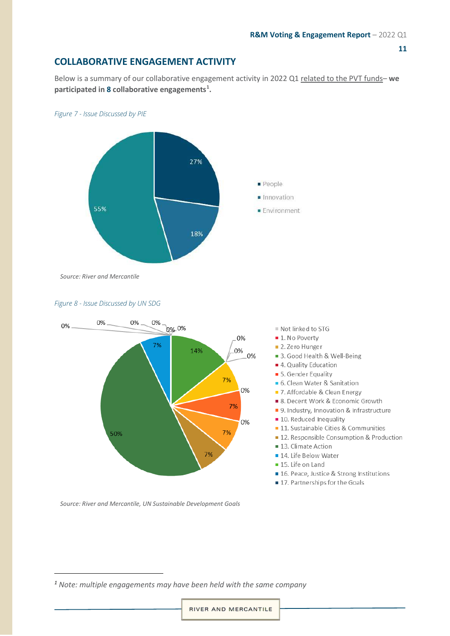# <span id="page-10-0"></span>**COLLABORATIVE ENGAGEMENT ACTIVITY**

Below is a summary of our collaborative engagement activity in 2022 Q1 related to the PVT funds– **we participated in 8 collaborative engagements[1](#page-10-1) .** 





*Source: River and Mercantile*





*Source: River and Mercantile, UN Sustainable Development Goals*

- Not linked to STG
- **1.** No Poverty
- 2. Zero Hunger
- 3. Good Health & Well-Being
- 4. Quality Education
- 5. Gender Equality
- 6. Clean Water & Sanitation
- 7. Affordable & Clean Energy
- 8. Decent Work & Economic Growth
- 9. Industry, Innovation & Infrastructure
- **10.** Reduced Inequality
- **11.** Sustainable Cities & Communities
- 12. Responsible Consumption & Production
- 13. Climate Action
- 14. Life Below Water
- 15. Life on Land
- 16. Peace, Justice & Strong Institutions
- 17. Partnerships for the Goals

<span id="page-10-1"></span>*<sup>1</sup> Note: multiple engagements may have been held with the same company*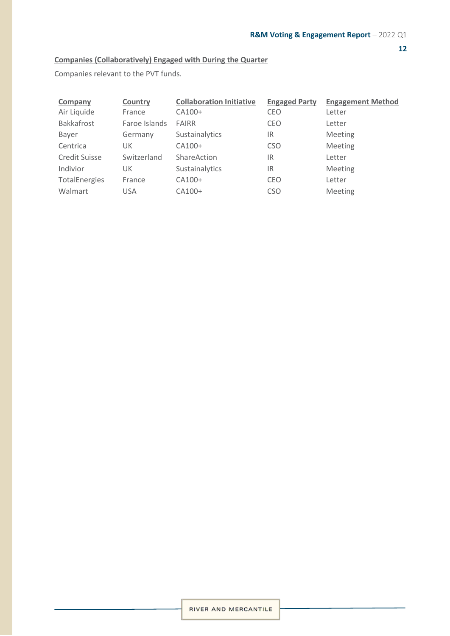# **Companies (Collaboratively) Engaged with During the Quarter**

Companies relevant to the PVT funds.

| Company           | Country       | <b>Collaboration Initiative</b> | <b>Engaged Party</b> | <b>Engagement Method</b> |
|-------------------|---------------|---------------------------------|----------------------|--------------------------|
| Air Liquide       | France        | CA100+                          | <b>CEO</b>           | Letter                   |
| <b>Bakkafrost</b> | Faroe Islands | <b>FAIRR</b>                    | CEO                  | Letter                   |
| Bayer             | Germany       | Sustainalytics                  | IR                   | Meeting                  |
| Centrica          | UK            | CA100+                          | <b>CSO</b>           | Meeting                  |
| Credit Suisse     | Switzerland   | ShareAction                     | IR                   | Letter                   |
| Indivior          | UK            | Sustainalytics                  | IR                   | Meeting                  |
| TotalEnergies     | France        | CA100+                          | CEO                  | Letter                   |
| Walmart           | <b>USA</b>    | CA100+                          | <b>CSO</b>           | Meeting                  |